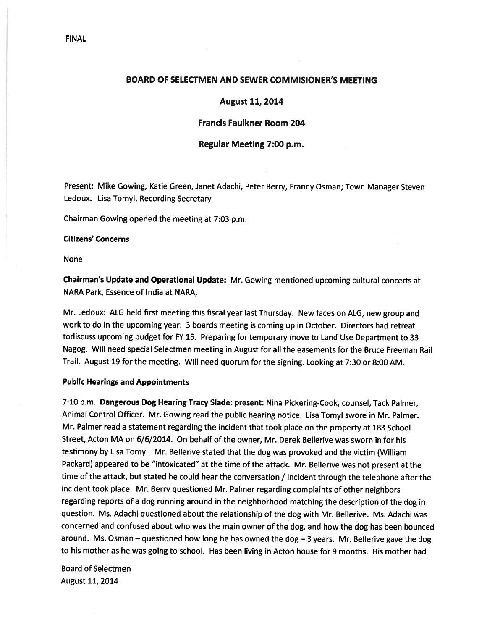# FINAL

## BOARD OF SELECTMEN AND SEWER COMMISIONER'S MEETING

## August 11, 2014

# Francis Faulkner Room 204

## Regular Meeting 7:00 p.m.

Present: Mike Gowing, Katie Green, Janet Adachi, Peter Berry, Franny Osman; Town Manager Steven Ledoux. Lisa Tomyl, Recording Secretary

Chairman Gowing opened the meeting at 7:03 p.m.

#### Citizens' Concerns

None

Chairman's Update and Operational Update: Mr. Gowing mentioned upcoming cultural concerts at NARA Park, Essence of India at NARA,

Mr. Ledoux: ALG held first meeting this fiscal year last Thursday. New faces on ALG, new group and work to do in the upcoming year. <sup>3</sup> boards meeting is coming up in October. Directors had retreat todiscuss upcoming budget for FY 15. Preparing for temporary move to Land Use Department to <sup>33</sup> Nagog. Will need special Selectmen meeting in August for all the easements for the Bruce Freeman Rail Trail. August <sup>19</sup> for the meeting. Will need quorum for the signing. Looking at 7:30 or 8:00 AM.

### Public Hearings and Appointments

7:10 p.m. Dangerous Dog Hearing Tracy Slade: present: Nina Pickering-Cook, counsel, Tack Palmer, Animal Control Officer. Mr. Gowing read the public hearing notice. Lisa Tomyl swore in Mr. Palmer. Mr. Palmer read <sup>a</sup> statement regarding the incident that took <sup>p</sup>lace on the property at <sup>183</sup> School Street, Acton MA on 6/6/2014. On behalf of the owner, Mr. Derek Bellerive was sworn in for his testimony by Lisa Tomyl. Mr. Bellerive stated that the dog was provoked and the victim (William Packard) appeare<sup>d</sup> to be "intoxicated" at the time of the attack. Mr. Bellerive was not presen<sup>t</sup> at the time of the attack, but stated he could hear the conversation / incident through the telephone after the incident took <sup>p</sup>lace. Mr. Berry questioned Mr. Palmer regarding complaints of other neighbors regarding reports of <sup>a</sup> dog running around in the neighborhood matching the description of the dog in question. Ms. Adachi questioned about the relationship of the dog with Mr. Bellerive. Ms. Adachi was concerned and confused about who was the main owner of the dog, and how the dog has been bounced around. Ms. Osman — questioned how long he has owned the dog — <sup>3</sup> years. Mr. Bellerive gave the dog to his mother as he was going to school. Has been living in Acton house for 9 months. His mother had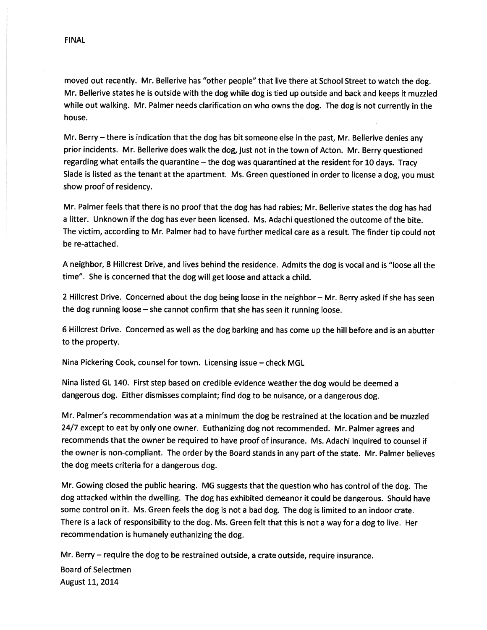moved out recently. Mr. Bellerive has "other people" that live there at School Street to watch the dog. Mr. Bellerive states he is outside with the dog while dog is tied up outside and back and keeps it muzzled while out walking. Mr. Palmer needs clarification on who owns the dog. The dog is not currently in the house.

Mr. Berry — there is indication that the dog has bit someone else in the past, Mr. Bellerive denies any prior incidents. Mr. Bellerive does walk the dog, just not in the town of Acton. Mr. Berry questioned regarding what entails the quarantine — the dog was quarantined at the resident for <sup>10</sup> days. Tracy Slade is listed as the tenant at the apartment. Ms. Green questioned in order to license <sup>a</sup> dog, you must show proof of residency.

Mr. Palmer feels that there is no proo<sup>f</sup> that the dog has had rabies; Mr. Bellerive states the dog has had <sup>a</sup> litter. Unknown if the dog has ever been licensed. Ms. Adachi questioned the outcome of the bite. The victim, according to Mr. Palmer had to have further medical care as <sup>a</sup> result. The finder tip could not be re-attached.

<sup>A</sup> neighbor, <sup>8</sup> Hillcrest Drive, and lives behind the residence. Admits the dog is vocal and is "loose all the time". She is concerned that the dog will ge<sup>t</sup> loose and attack <sup>a</sup> child.

<sup>2</sup> Hillcrest Drive. Concerned about the dog being loose in the neighbor — Mr. Berry asked if she has seen the dog running loose — she cannot confirm that she has seen it running loose.

<sup>6</sup> Hillcrest Drive. Concerned as well as the dog barking and has come up the hill before and is an abutter to the property.

Nina Pickering Cook, counsel for town. Licensing issue — check MGL

Nina listed GL 140. First step based on credible evidence weather the dog would be deemed <sup>a</sup> dangerous dog. Either dismisses complaint; find dog to be nuisance, or <sup>a</sup> dangerous dog.

Mr. Palmer's recommendation was at <sup>a</sup> minimum the dog be restrained at the location and be muzzled 24/7 excep<sup>t</sup> to eat by only one owner. Euthanizing dog not recommended. Mr. Palmer agrees and recommends that the owner be required to have proo<sup>f</sup> of insurance. Ms. Adachi inquired to counsel if the owner is non-compliant. The order by the Board stands in any par<sup>t</sup> of the state. Mr. Palmer believes the dog meets criteria for <sup>a</sup> dangerous dog.

Mr. Gowing closed the public hearing. MG suggests that the question who has control of the dog. The dog attacked within the dwelling. The dog has exhibited demeanor it could be dangerous. Should have some control on it. Ms. Green feels the dog is not <sup>a</sup> bad dog. The dog is limited to an indoor crate. There is <sup>a</sup> lack of responsibility to the dog. Ms. Green felt that this is not <sup>a</sup> way for <sup>a</sup> dog to live. Her recommendation is humanely euthanizing the dog.

Mr. Berry — require the dog to be restrained outside, <sup>a</sup> crate outside, require insurance. Board of Selectmen August 11, 2014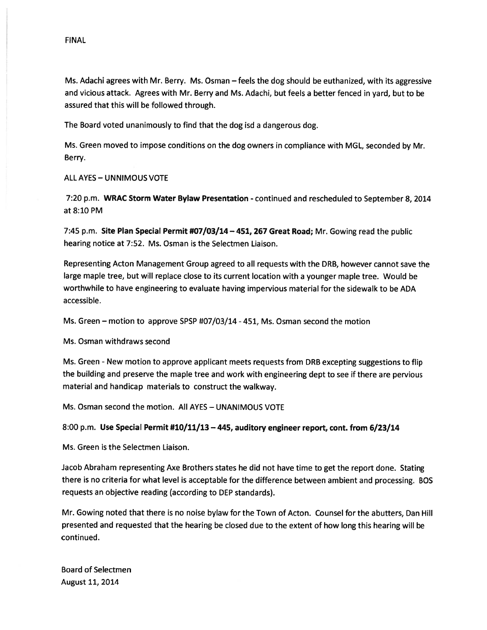Ms. Adachi agrees with Mr. Berry. Ms. Osman — feels the dog should be euthanized, with its aggressive and vicious attack. Agrees with Mr. Berry and Ms. Adachi, but feels <sup>a</sup> better fenced in yard, but to be assured that this will be followed through.

The Board voted unanimously to find that the dog isd <sup>a</sup> dangerous dog.

Ms. Green moved to impose conditions on the dog owners in compliance with MGL, seconded by Mr. Berry.

ALL AYES — UNNIMOUS VOTE

7:20 p.m. WRAC Storm Water Bylaw Presentation - continued and rescheduled to September 8, 2014 at 8:10 PM

7:45 p.m. Site Plan Special Permit #07/03/14 - 451, 267 Great Road; Mr. Gowing read the public hearing notice at 7:52. Ms. Osman is the Selectmen Liaison.

Representing Acton Management Group agreed to all requests with the ORB, however cannot save the large maple tree, but will replace close to its current location with <sup>a</sup> younger maple tree. Would be worthwhile to have engineering to evaluate having impervious material for the sidewalk to be ADA accessible.

Ms. Green — motion to approve SPSP #07/03/14 -451, Ms. Osman second the motion

Ms. Osman withdraws second

Ms. Green - New motion to approve applicant meets requests from DRB excepting suggestions to flip the building and preserve the maple tree and work with engineering dept to see if there are pervious material and handicap materials to construct the walkway.

Ms. Osman second the motion. All AYES — UNANIMOUS VOTE

## 8:00 p.m. Use Special Permit #10/11/13 —445, auditory engineer report, cont. from 6/23/14

Ms. Green is the Selectmen Liaison.

Jacob Abraham representing Axe Brothers states he did not have time to ge<sup>t</sup> the repor<sup>t</sup> done. Stating there is no criteria for what level is acceptable for the difference between ambient and processing. BOS requests an objective reading (according to DEP standards).

Mr. Gowing noted that there is no noise bylaw for the Town of Acton. Counsel for the abutters, Dan Hill presented and requested that the hearing be closed due to the extent of how long this hearing will be continued.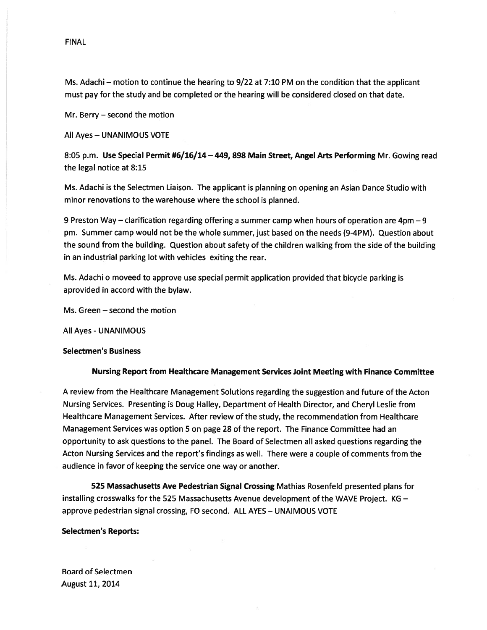### FINAL

Ms. Adachi — motion to continue the hearing to 9/22 at 7:10 PM on the condition that the applicant must pay for the study and be completed or the hearing will be considered closed on that date.

Mr. Berry — second the motion

All Ayes — UNANIMOUS VOTE

8:05 p.m. Use Special Permit #6/16/14 — 449, 898 Main Street, Angel Arts Performing Mr. Gowing read the legal notice at 8:15

Ms. Adachi is the Selectmen Liaison. The applicant is planning on opening an Asian Dance Studio with minor renovations to the warehouse where the school is planned.

9 Preston Way — clarification regarding offering <sup>a</sup> summer camp when hours of operation are 4pm —9 pm. Summer camp would not be the whole summer, just based on the needs (9-4PM). Question about the sound from the building. Question about safety of the children walking from the side of the building in an industrial parking lot with vehicles exiting the rear.

Ms. Adachi <sup>o</sup> moveed to approve use special permit application provided that bicycle parking is aprovided in accord with the bylaw.

Ms. Green — second the motion

All Ayes - UNANIMOUS

#### Selectmen's Business

### Nursing Report from Healthcare Management Services Joint Meeting with Finance Committee

A review from the Healthcare Management Solutions regarding the suggestion and future of the Acton Nursing Services. Presenting is Doug Halley, Department of Health Director, and Cheryl Leslie from Healthcare Management Services. After review of the study, the recommendation from Healthcare Management Services was option 5 on page 28 of the report. The Finance Committee had an opportunity to ask questions to the panel. The Board of Selectmen all asked questions regarding the Acton Nursing Services and the report's findings as well. There were <sup>a</sup> couple of comments from the audience in favor of keeping the service one way or another.

525 Massachusetts Ave Pedestrian Signal Crossing Mathias Rosenfeld presented plans for installing crosswalks for the 525 Massachusetts Avenue development of the WAVE Project. KG approve pedestrian signal crossing, FO second. ALL AYES — UNAIMOUS VOTE

#### Selectmen's Reports: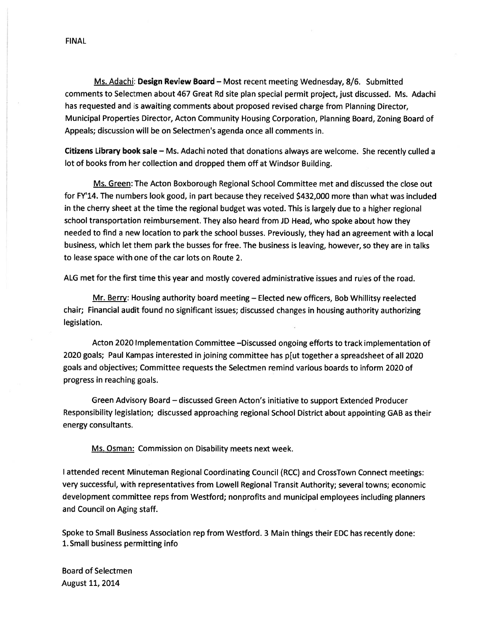FINAL

Ms. Adachi: Design Review Board — Most recent meeting Wednesday, 8/6. Submitted comments to Selectmen about 467 Great Rd site <sup>p</sup>lan special permit project, just discussed. Ms. Adachi has requested and is awaiting comments about proposed revised charge from Planning Director, Municipal Properties Director, Acton Community Housing Corporation, Planning Board, Zoning Board of Appeals; discussion will be on Selectmen's agenda once all comments in.

Citizens Library book sale — Ms. Adachi noted that donations always are welcome. She recently culled <sup>a</sup> lot of books from her collection and dropped them off at Windsor Building.

Ms. Green: The Acton Boxborough Regional School Committee met and discussed the close out for FY'14. The numbers look good, in par<sup>t</sup> because they received \$432,000 more than what was included in the cherry sheet at the time the regional budget was voted. This is largely due to <sup>a</sup> higher regional school transportation reimbursement. They also heard from JD Head, who spoke about how they needed to find <sup>a</sup> new location to park the school busses. Previously, they had an agreemen<sup>t</sup> with <sup>a</sup> local business, which let them par<sup>k</sup> the busses for free. The business is leaving, however, so they are in talks to lease space with one of the car lots on Route 2.

ALG met for the first time this year and mostly covered administrative issues and rules of the road.

Mr. Berry: Housing authority board meeting — Elected new officers, Bob Whillitsy reelected chair; Financial audit found no significant issues; discussed changes in housing authority authorizing legislation.

Acton 2020 Implementation Committee —Discussed ongoing efforts to track implementation of 2020 goals; Paul Kampas interested in joining committee has p[ut together <sup>a</sup> spreadsheet of all 2020 goals and objectives; Committee requests the Selectmen remind various boards to inform 2020 of progress in reaching goals.

Green Advisory Board — discussed Green Acton's initiative to suppor<sup>t</sup> Extended Producer Responsibility legislation; discussed approaching regional School District about appointing GAB as their energy consultants.

Ms. Osman: Commission on Disability meets next week.

<sup>I</sup> attended recent Minuteman Regional Coordinating Council (RCC) and CrossTown Connect meetings: very successful, with representatives from Lowell Regional Transit Authority; several towns; economic development committee reps from Westford; nonprofits and municipal employees including <sup>p</sup>lanners and Council on Aging staff.

Spoke to Small Business Association rep from Westford. 3 Main things their EDC has recently done: 1. Small business permitting info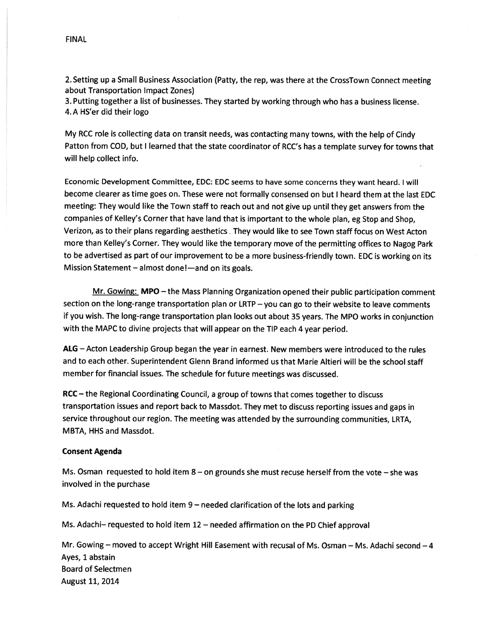2. Setting up <sup>a</sup> Small Business Association (Patty, the rep, was there at the CrossTown Connect meeting about Transportation Impact Zones)

3. Putting together <sup>a</sup> list of businesses. They started by working through who has <sup>a</sup> business license. 4.A HS'er did their logo

My RCC role is collecting data on transit needs, was contacting many towns, with the help of Cindy Patton from COD, but <sup>I</sup> learned that the state coordinator of RCC's has <sup>a</sup> template survey for towns that will help collect info.

Economic Development Committee, EDC: EDC seems to have some concerns they want heard. <sup>I</sup> will become clearer as time goes on. These were not formally consensed on but <sup>I</sup> heard them at the last EDC meeting: They would like the Town staff to reach out and not <sup>g</sup>ive up until they ge<sup>t</sup> answers from the companies of Kelley's Corner that have land that is important to the whole <sup>p</sup>lan, eg Stop and Shop, Verizon, as to their plans regarding aesthetics . They would like to see Town staff focus on West Acton more than Kelley's Corner. They would like the temporary move of the permitting offices to Nagog Park to be advertised as par<sup>t</sup> of our improvement to be <sup>a</sup> more business-friendly town. EDC is working on its Mission Statement — almost done!—and on its goals.

Mr. Gowing: MPO — the Mass Planning Organization opene<sup>d</sup> their public participation comment section on the long-range transportation <sup>p</sup>lan or LRTP — you can go to their website to leave comments if you wish. The long-range transportation <sup>p</sup>lan looks out about <sup>35</sup> years. The MPO works in conjunction with the MAPC to divine projects that will appear on the TIP each <sup>4</sup> year period.

ALG — Acton Leadership Group began the year in earnest. New members were introduced to the rules and to each other. Superintendent Glenn Brand informed us that Marie Altieri will be the school staff member for financial issues. The schedule for future meetings was discussed.

RCC — the Regional Coordinating Council, <sup>a</sup> group of towns that comes together to discuss transportation issues and repor<sup>t</sup> back to Massdot. They met to discuss reporting issues and gaps in service throughout our region. The meeting was attended by the surrounding communities, LRTA, MBTA, HHS and Massdot.

### Consent Agenda

Ms. Osman requested to hold item  $8 -$  on grounds she must recuse herself from the vote  $-$  she was involved in the purchase

Ms. Adachi requested to hold item <sup>9</sup> — needed clarification of the lots and parking

Ms. Adachi— requested to hold item <sup>12</sup> — needed affirmation on the PD Chief approva<sup>l</sup>

Mr. Gowing — moved to accep<sup>t</sup> Wright Hill Easement with recusal of Ms. Osman — Ms. Adachi second —4 Ayes, 1 abstain Board of Selectmen August 11, 2014